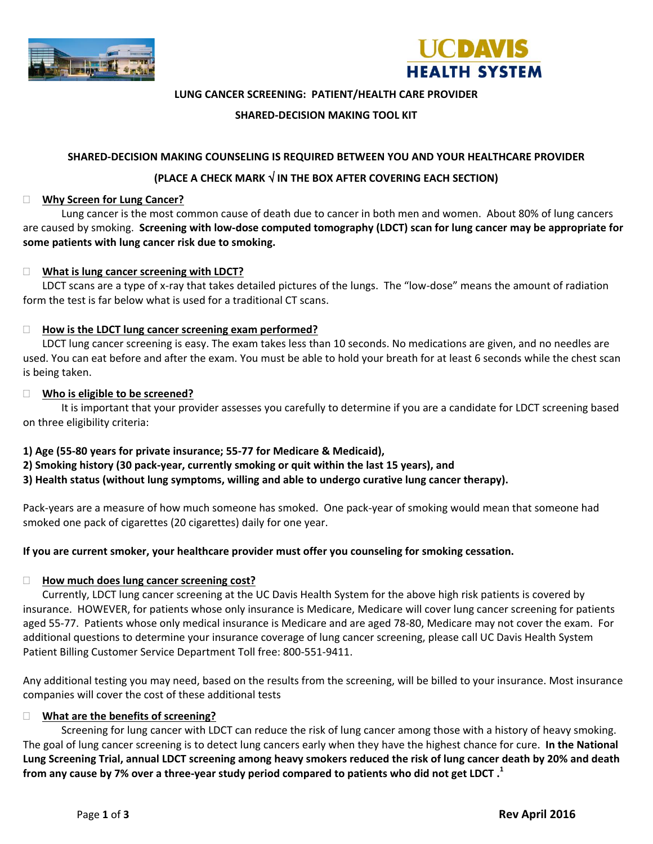



## **LUNG CANCER SCREENING: PATIENT/HEALTH CARE PROVIDER**

## **SHARED-DECISION MAKING TOOL KIT**

### **SHARED-DECISION MAKING COUNSELING IS REQUIRED BETWEEN YOU AND YOUR HEALTHCARE PROVIDER**

## **(PLACE A CHECK MARK IN THE BOX AFTER COVERING EACH SECTION)**

#### **Why Screen for Lung Cancer?**

Lung cancer is the most common cause of death due to cancer in both men and women. About 80% of lung cancers are caused by smoking. **Screening with low-dose computed tomography (LDCT) scan for lung cancer may be appropriate for some patients with lung cancer risk due to smoking.**

#### **What is lung cancer screening with LDCT?**

LDCT scans are a type of x-ray that takes detailed pictures of the lungs. The "low-dose" means the amount of radiation form the test is far below what is used for a traditional CT scans.

#### **How is the LDCT lung cancer screening exam performed?**

LDCT lung cancer screening is easy. The exam takes less than 10 seconds. No medications are given, and no needles are used. You can eat before and after the exam. You must be able to hold your breath for at least 6 seconds while the chest scan is being taken.

#### **Who is eligible to be screened?**

It is important that your provider assesses you carefully to determine if you are a candidate for LDCT screening based on three eligibility criteria:

#### **1) Age (55-80 years for private insurance; 55-77 for Medicare & Medicaid),**

**2) Smoking history (30 pack-year, currently smoking or quit within the last 15 years), and** 

#### **3) Health status (without lung symptoms, willing and able to undergo curative lung cancer therapy).**

Pack-years are a measure of how much someone has smoked. One pack-year of smoking would mean that someone had smoked one pack of cigarettes (20 cigarettes) daily for one year.

#### **If you are current smoker, your healthcare provider must offer you counseling for smoking cessation.**

#### **How much does lung cancer screening cost?**

Currently, LDCT lung cancer screening at the UC Davis Health System for the above high risk patients is covered by insurance. HOWEVER, for patients whose only insurance is Medicare, Medicare will cover lung cancer screening for patients aged 55-77. Patients whose only medical insurance is Medicare and are aged 78-80, Medicare may not cover the exam. For additional questions to determine your insurance coverage of lung cancer screening, please call UC Davis Health System Patient Billing Customer Service Department Toll free: 800-551-9411.

Any additional testing you may need, based on the results from the screening, will be billed to your insurance. Most insurance companies will cover the cost of these additional tests

#### **What are the benefits of screening?**

Screening for lung cancer with LDCT can reduce the risk of lung cancer among those with a history of heavy smoking. The goal of lung cancer screening is to detect lung cancers early when they have the highest chance for cure. **In the National Lung Screening Trial, annual LDCT screening among heavy smokers reduced the risk of lung cancer death by 20% and death from any cause by 7% over a three-year study period compared to patients who did not get LDCT . 1**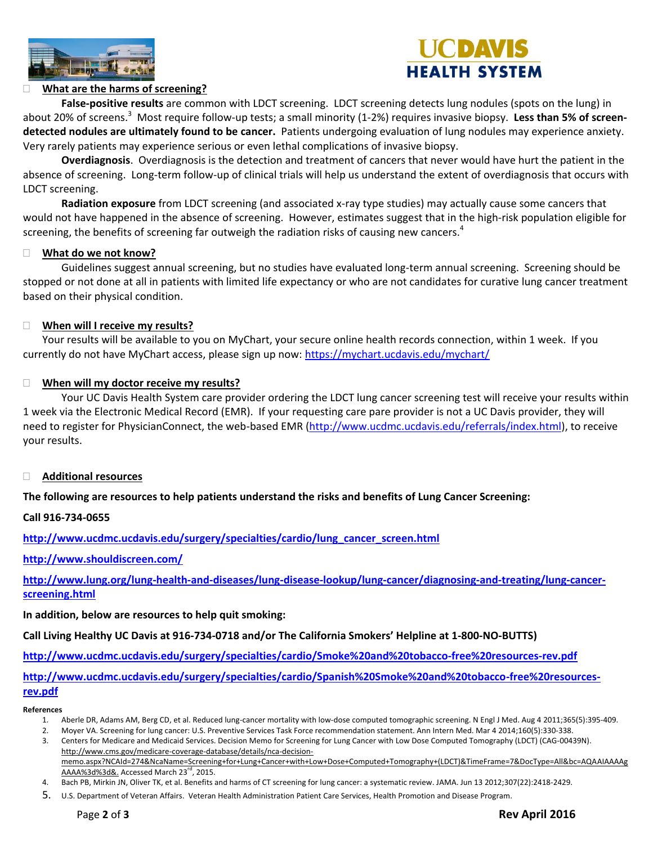



## **What are the harms of screening?**

**False-positive results** are common with LDCT screening. LDCT screening detects lung nodules (spots on the lung) in about 20% of screens.<sup>3</sup> Most require follow-up tests; a small minority (1-2%) requires invasive biopsy. Less than 5% of screen**detected nodules are ultimately found to be cancer.** Patients undergoing evaluation of lung nodules may experience anxiety. Very rarely patients may experience serious or even lethal complications of invasive biopsy.

**Overdiagnosis**. Overdiagnosis is the detection and treatment of cancers that never would have hurt the patient in the absence of screening. Long-term follow-up of clinical trials will help us understand the extent of overdiagnosis that occurs with LDCT screening.

**Radiation exposure** from LDCT screening (and associated x-ray type studies) may actually cause some cancers that would not have happened in the absence of screening. However, estimates suggest that in the high-risk population eligible for screening, the benefits of screening far outweigh the radiation risks of causing new cancers.<sup>4</sup>

## **What do we not know?**

Guidelines suggest annual screening, but no studies have evaluated long-term annual screening. Screening should be stopped or not done at all in patients with limited life expectancy or who are not candidates for curative lung cancer treatment based on their physical condition.

## **When will I receive my results?**

Your results will be available to you on MyChart, your secure online health records connection, within 1 week. If you currently do not have MyChart access, please sign up now:<https://mychart.ucdavis.edu/mychart/>

## **When will my doctor receive my results?**

Your UC Davis Health System care provider ordering the LDCT lung cancer screening test will receive your results within 1 week via the Electronic Medical Record (EMR). If your requesting care pare provider is not a UC Davis provider, they will need to register for PhysicianConnect, the web-based EMR [\(http://www.ucdmc.ucdavis.edu/referrals/index.html\)](http://www.ucdmc.ucdavis.edu/referrals/index.html), to receive your results.

#### **Additional resources**

**The following are resources to help patients understand the risks and benefits of Lung Cancer Screening:**

#### **Call 916-734-0655**

**[http://www.ucdmc.ucdavis.edu/surgery/specialties/cardio/lung\\_cancer\\_screen.html](http://www.ucdmc.ucdavis.edu/surgery/specialties/cardio/lung_cancer_screen.html)**

**<http://www.shouldiscreen.com/>**

**[http://www.lung.org/lung-health-and-diseases/lung-disease-lookup/lung-cancer/diagnosing-and-treating/lung-cancer](http://www.lung.org/lung-health-and-diseases/lung-disease-lookup/lung-cancer/diagnosing-and-treating/lung-cancer-screening.html)[screening.html](http://www.lung.org/lung-health-and-diseases/lung-disease-lookup/lung-cancer/diagnosing-and-treating/lung-cancer-screening.html)**

**In addition, below are resources to help quit smoking:**

**Call Living Healthy UC Davis at 916-734-0718 and/or The California Smokers' Helpline at 1-800-NO-BUTTS)**

**<http://www.ucdmc.ucdavis.edu/surgery/specialties/cardio/Smoke%20and%20tobacco-free%20resources-rev.pdf>**

**[http://www.ucdmc.ucdavis.edu/surgery/specialties/cardio/Spanish%20Smoke%20and%20tobacco-free%20resources](http://www.ucdmc.ucdavis.edu/surgery/specialties/cardio/Spanish%20Smoke%20and%20tobacco-free%20resources-rev.pdf)[rev.pdf](http://www.ucdmc.ucdavis.edu/surgery/specialties/cardio/Spanish%20Smoke%20and%20tobacco-free%20resources-rev.pdf)**

#### **References**

- 1. Aberle DR, Adams AM, Berg CD, et al. Reduced lung-cancer mortality with low-dose computed tomographic screening. N Engl J Med. Aug 4 2011;365(5):395-409.
- 2. Moyer VA. Screening for lung cancer: U.S. Preventive Services Task Force recommendation statement. Ann Intern Med. Mar 4 2014;160(5):330-338.
- 3. Centers for Medicare and Medicaid Services. Decision Memo for Screening for Lung Cancer with Low Dose Computed Tomography (LDCT) (CAG-00439N). http://www.cms.gov/medicare-coverage-database/details/nca-decisionmemo.aspx?NCAId=274&NcaName=Screening+for+Lung+Cancer+with+Low+Dose+Computed+Tomography+(LDCT)&TimeFrame=7&DocType=All&bc=AQAAIAAAAg

5. U.S. Department of Veteran Affairs. Veteran Health Administration Patient Care Services, Health Promotion and Disease Program.

AAAA%3d%3d&. Accessed March 23<sup>rd</sup>, 2015. 4. Bach PB, Mirkin JN, Oliver TK, et al. Benefits and harms of CT screening for lung cancer: a systematic review. JAMA. Jun 13 2012;307(22):2418-2429.